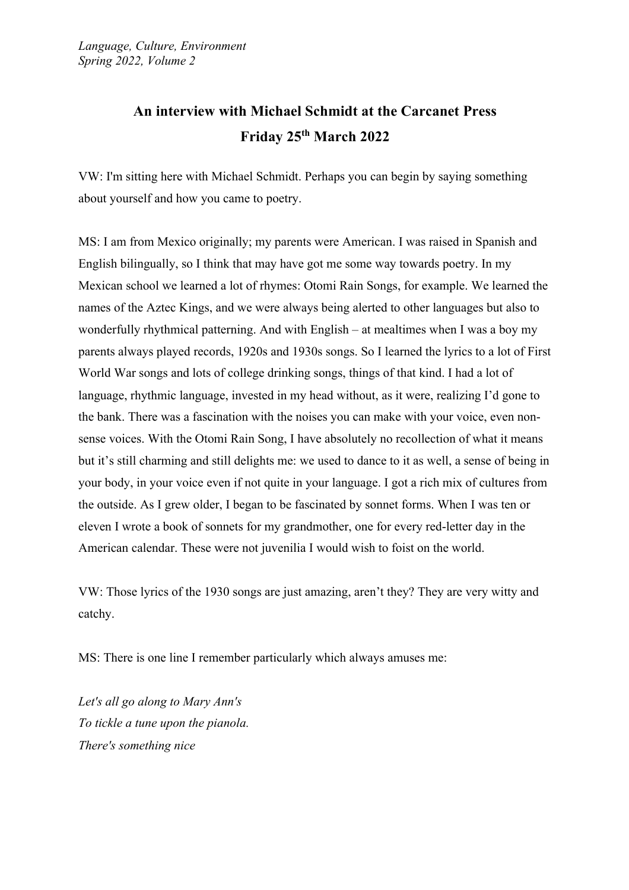## **An interview with Michael Schmidt at the Carcanet Press Friday 25th March 2022**

VW: I'm sitting here with Michael Schmidt. Perhaps you can begin by saying something about yourself and how you came to poetry.

MS: I am from Mexico originally; my parents were American. I was raised in Spanish and English bilingually, so I think that may have got me some way towards poetry. In my Mexican school we learned a lot of rhymes: Otomi Rain Songs, for example. We learned the names of the Aztec Kings, and we were always being alerted to other languages but also to wonderfully rhythmical patterning. And with English – at mealtimes when I was a boy my parents always played records, 1920s and 1930s songs. So I learned the lyrics to a lot of First World War songs and lots of college drinking songs, things of that kind. I had a lot of language, rhythmic language, invested in my head without, as it were, realizing I'd gone to the bank. There was a fascination with the noises you can make with your voice, even nonsense voices. With the Otomi Rain Song, I have absolutely no recollection of what it means but it's still charming and still delights me: we used to dance to it as well, a sense of being in your body, in your voice even if not quite in your language. I got a rich mix of cultures from the outside. As I grew older, I began to be fascinated by sonnet forms. When I was ten or eleven I wrote a book of sonnets for my grandmother, one for every red-letter day in the American calendar. These were not juvenilia I would wish to foist on the world.

VW: Those lyrics of the 1930 songs are just amazing, aren't they? They are very witty and catchy.

MS: There is one line I remember particularly which always amuses me:

*Let's all go along to Mary Ann's To tickle a tune upon the pianola. There's something nice*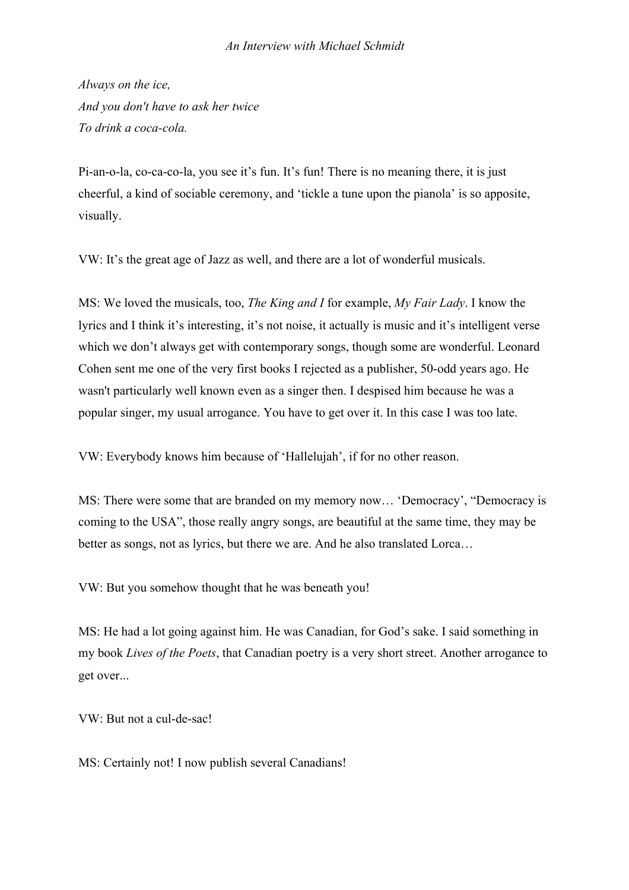## *An Interview with Michael Schmidt*

*Always on the ice, And you don't have to ask her twice To drink a coca-cola.*

Pi-an-o-la, co-ca-co-la, you see it's fun. It's fun! There is no meaning there, it is just cheerful, a kind of sociable ceremony, and 'tickle a tune upon the pianola' is so apposite, visually.

VW: It's the great age of Jazz as well, and there are a lot of wonderful musicals.

MS: We loved the musicals, too, *The King and I* for example, *My Fair Lady*. I know the lyrics and I think it's interesting, it's not noise, it actually is music and it's intelligent verse which we don't always get with contemporary songs, though some are wonderful. Leonard Cohen sent me one of the very first books I rejected as a publisher, 50-odd years ago. He wasn't particularly well known even as a singer then. I despised him because he was a popular singer, my usual arrogance. You have to get over it. In this case I was too late.

VW: Everybody knows him because of 'Hallelujah', if for no other reason.

MS: There were some that are branded on my memory now… 'Democracy', "Democracy is coming to the USA", those really angry songs, are beautiful at the same time, they may be better as songs, not as lyrics, but there we are. And he also translated Lorca…

VW: But you somehow thought that he was beneath you!

MS: He had a lot going against him. He was Canadian, for God's sake. I said something in my book *Lives of the Poets*, that Canadian poetry is a very short street. Another arrogance to get over...

VW: But not a cul-de-sac!

MS: Certainly not! I now publish several Canadians!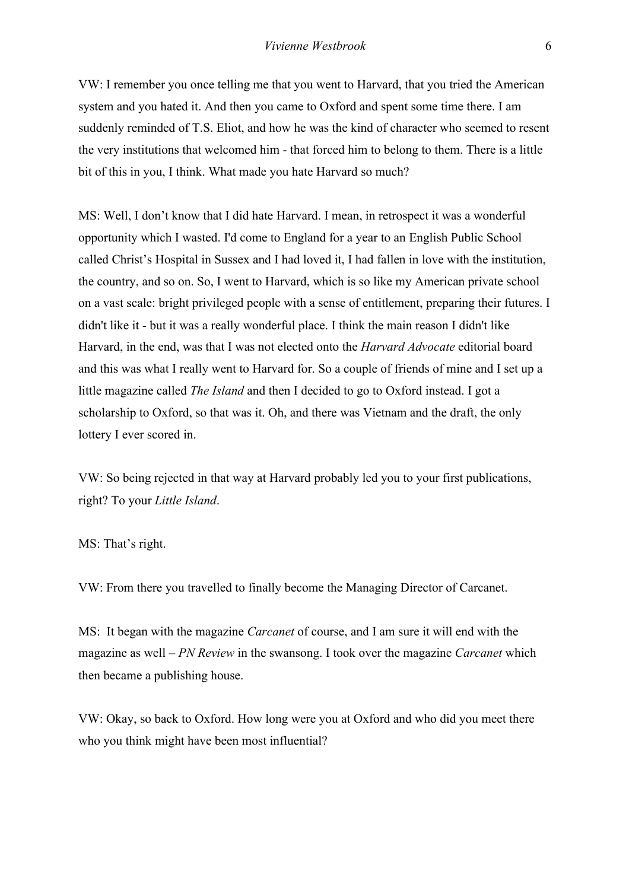VW: I remember you once telling me that you went to Harvard, that you tried the American system and you hated it. And then you came to Oxford and spent some time there. I am suddenly reminded of T.S. Eliot, and how he was the kind of character who seemed to resent the very institutions that welcomed him - that forced him to belong to them. There is a little bit of this in you, I think. What made you hate Harvard so much?

MS: Well, I don't know that I did hate Harvard. I mean, in retrospect it was a wonderful opportunity which I wasted. I'd come to England for a year to an English Public School called Christ's Hospital in Sussex and I had loved it, I had fallen in love with the institution, the country, and so on. So, I went to Harvard, which is so like my American private school on a vast scale: bright privileged people with a sense of entitlement, preparing their futures. I didn't like it - but it was a really wonderful place. I think the main reason I didn't like Harvard, in the end, was that I was not elected onto the *Harvard Advocate* editorial board and this was what I really went to Harvard for. So a couple of friends of mine and I set up a little magazine called *The Island* and then I decided to go to Oxford instead. I got a scholarship to Oxford, so that was it. Oh, and there was Vietnam and the draft, the only lottery I ever scored in.

VW: So being rejected in that way at Harvard probably led you to your first publications, right? To your *Little Island*.

MS: That's right.

VW: From there you travelled to finally become the Managing Director of Carcanet.

MS: It began with the magazine *Carcanet* of course, and I am sure it will end with the magazine as well – *PN Review* in the swansong. I took over the magazine *Carcanet* which then became a publishing house.

VW: Okay, so back to Oxford. How long were you at Oxford and who did you meet there who you think might have been most influential?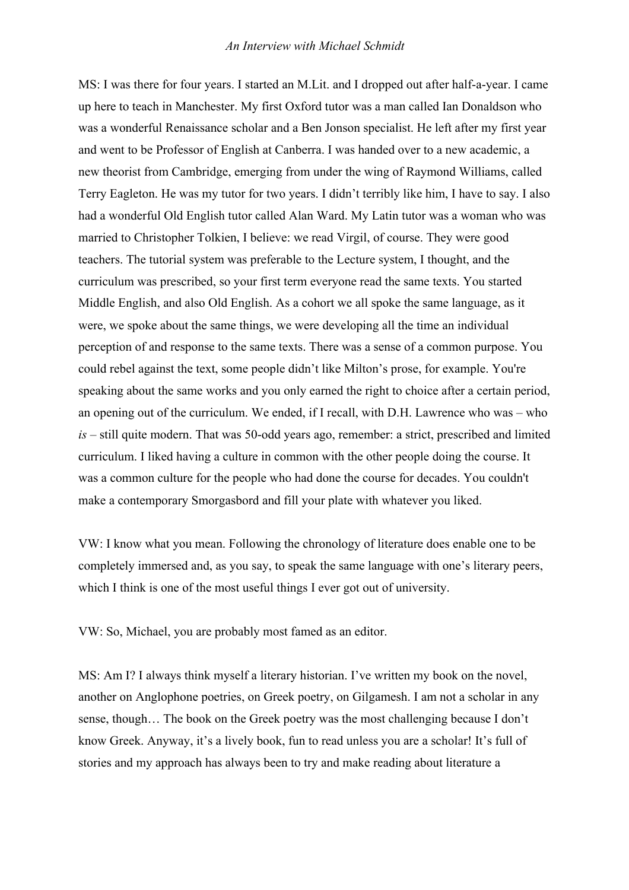## *An Interview with Michael Schmidt*

MS: I was there for four years. I started an M.Lit. and I dropped out after half-a-year. I came up here to teach in Manchester. My first Oxford tutor was a man called Ian Donaldson who was a wonderful Renaissance scholar and a Ben Jonson specialist. He left after my first year and went to be Professor of English at Canberra. I was handed over to a new academic, a new theorist from Cambridge, emerging from under the wing of Raymond Williams, called Terry Eagleton. He was my tutor for two years. I didn't terribly like him, I have to say. I also had a wonderful Old English tutor called Alan Ward. My Latin tutor was a woman who was married to Christopher Tolkien, I believe: we read Virgil, of course. They were good teachers. The tutorial system was preferable to the Lecture system, I thought, and the curriculum was prescribed, so your first term everyone read the same texts. You started Middle English, and also Old English. As a cohort we all spoke the same language, as it were, we spoke about the same things, we were developing all the time an individual perception of and response to the same texts. There was a sense of a common purpose. You could rebel against the text, some people didn't like Milton's prose, for example. You're speaking about the same works and you only earned the right to choice after a certain period, an opening out of the curriculum. We ended, if I recall, with D.H. Lawrence who was – who *is* – still quite modern. That was 50-odd years ago, remember: a strict, prescribed and limited curriculum. I liked having a culture in common with the other people doing the course. It was a common culture for the people who had done the course for decades. You couldn't make a contemporary Smorgasbord and fill your plate with whatever you liked.

VW: I know what you mean. Following the chronology of literature does enable one to be completely immersed and, as you say, to speak the same language with one's literary peers, which I think is one of the most useful things I ever got out of university.

VW: So, Michael, you are probably most famed as an editor.

MS: Am I? I always think myself a literary historian. I've written my book on the novel, another on Anglophone poetries, on Greek poetry, on Gilgamesh. I am not a scholar in any sense, though… The book on the Greek poetry was the most challenging because I don't know Greek. Anyway, it's a lively book, fun to read unless you are a scholar! It's full of stories and my approach has always been to try and make reading about literature a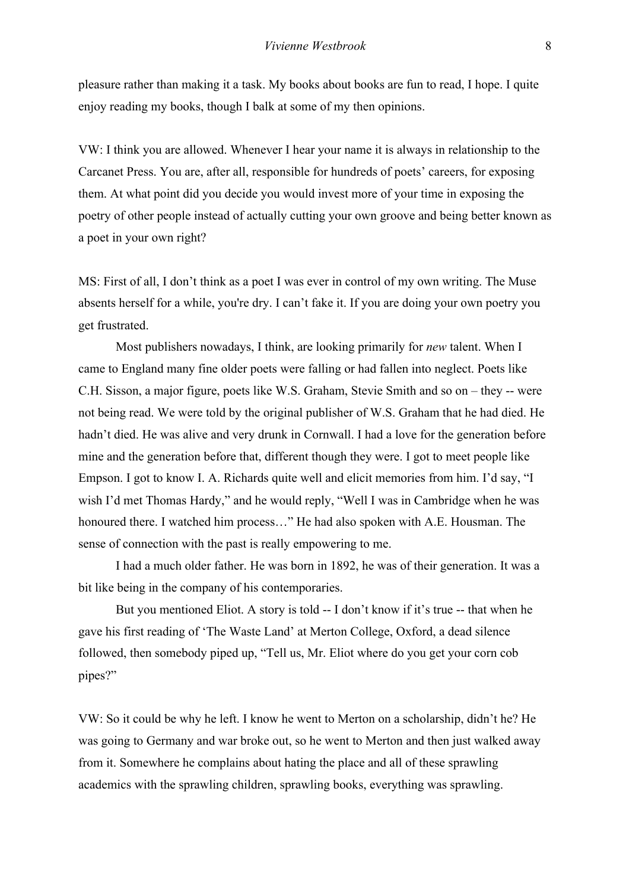pleasure rather than making it a task. My books about books are fun to read, I hope. I quite enjoy reading my books, though I balk at some of my then opinions.

VW: I think you are allowed. Whenever I hear your name it is always in relationship to the Carcanet Press. You are, after all, responsible for hundreds of poets' careers, for exposing them. At what point did you decide you would invest more of your time in exposing the poetry of other people instead of actually cutting your own groove and being better known as a poet in your own right?

MS: First of all, I don't think as a poet I was ever in control of my own writing. The Muse absents herself for a while, you're dry. I can't fake it. If you are doing your own poetry you get frustrated.

Most publishers nowadays, I think, are looking primarily for *new* talent. When I came to England many fine older poets were falling or had fallen into neglect. Poets like C.H. Sisson, a major figure, poets like W.S. Graham, Stevie Smith and so on – they -- were not being read. We were told by the original publisher of W.S. Graham that he had died. He hadn't died. He was alive and very drunk in Cornwall. I had a love for the generation before mine and the generation before that, different though they were. I got to meet people like Empson. I got to know I. A. Richards quite well and elicit memories from him. I'd say, "I wish I'd met Thomas Hardy," and he would reply, "Well I was in Cambridge when he was honoured there. I watched him process…" He had also spoken with A.E. Housman. The sense of connection with the past is really empowering to me.

I had a much older father. He was born in 1892, he was of their generation. It was a bit like being in the company of his contemporaries.

But you mentioned Eliot. A story is told -- I don't know if it's true -- that when he gave his first reading of 'The Waste Land' at Merton College, Oxford, a dead silence followed, then somebody piped up, "Tell us, Mr. Eliot where do you get your corn cob pipes?"

VW: So it could be why he left. I know he went to Merton on a scholarship, didn't he? He was going to Germany and war broke out, so he went to Merton and then just walked away from it. Somewhere he complains about hating the place and all of these sprawling academics with the sprawling children, sprawling books, everything was sprawling.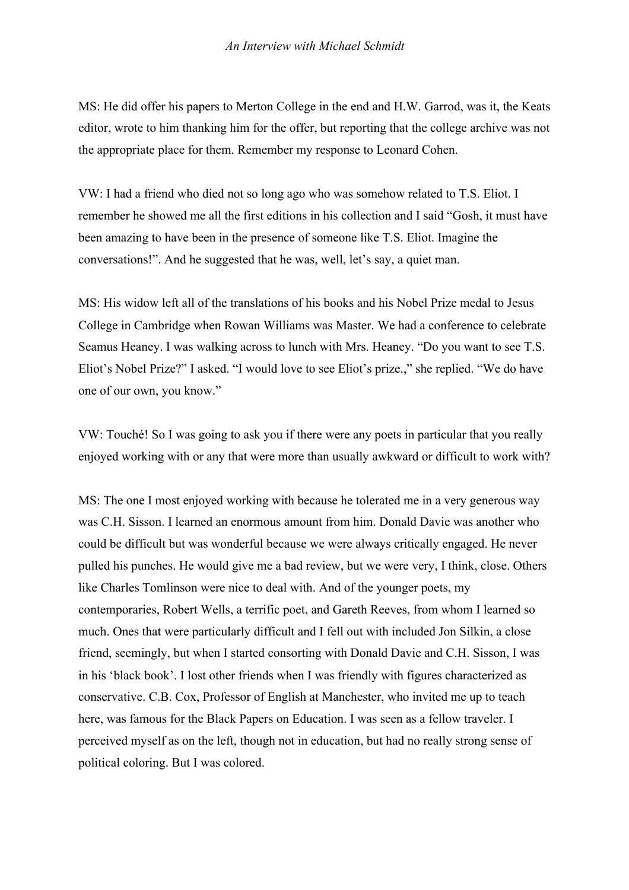MS: He did offer his papers to Merton College in the end and H.W. Garrod, was it, the Keats editor, wrote to him thanking him for the offer, but reporting that the college archive was not the appropriate place for them. Remember my response to Leonard Cohen.

VW: I had a friend who died not so long ago who was somehow related to T.S. Eliot. I remember he showed me all the first editions in his collection and I said "Gosh, it must have been amazing to have been in the presence of someone like T.S. Eliot. Imagine the conversations!". And he suggested that he was, well, let's say, a quiet man.

MS: His widow left all of the translations of his books and his Nobel Prize medal to Jesus College in Cambridge when Rowan Williams was Master. We had a conference to celebrate Seamus Heaney. I was walking across to lunch with Mrs. Heaney. "Do you want to see T.S. Eliot's Nobel Prize?" I asked. "I would love to see Eliot's prize.," she replied. "We do have one of our own, you know."

VW: Touché! So I was going to ask you if there were any poets in particular that you really enjoyed working with or any that were more than usually awkward or difficult to work with?

MS: The one I most enjoyed working with because he tolerated me in a very generous way was C.H. Sisson. I learned an enormous amount from him. Donald Davie was another who could be difficult but was wonderful because we were always critically engaged. He never pulled his punches. He would give me a bad review, but we were very, I think, close. Others like Charles Tomlinson were nice to deal with. And of the younger poets, my contemporaries, Robert Wells, a terrific poet, and Gareth Reeves, from whom I learned so much. Ones that were particularly difficult and I fell out with included Jon Silkin, a close friend, seemingly, but when I started consorting with Donald Davie and C.H. Sisson, I was in his 'black book'. I lost other friends when I was friendly with figures characterized as conservative. C.B. Cox, Professor of English at Manchester, who invited me up to teach here, was famous for the Black Papers on Education. I was seen as a fellow traveler. I perceived myself as on the left, though not in education, but had no really strong sense of political coloring. But I was colored.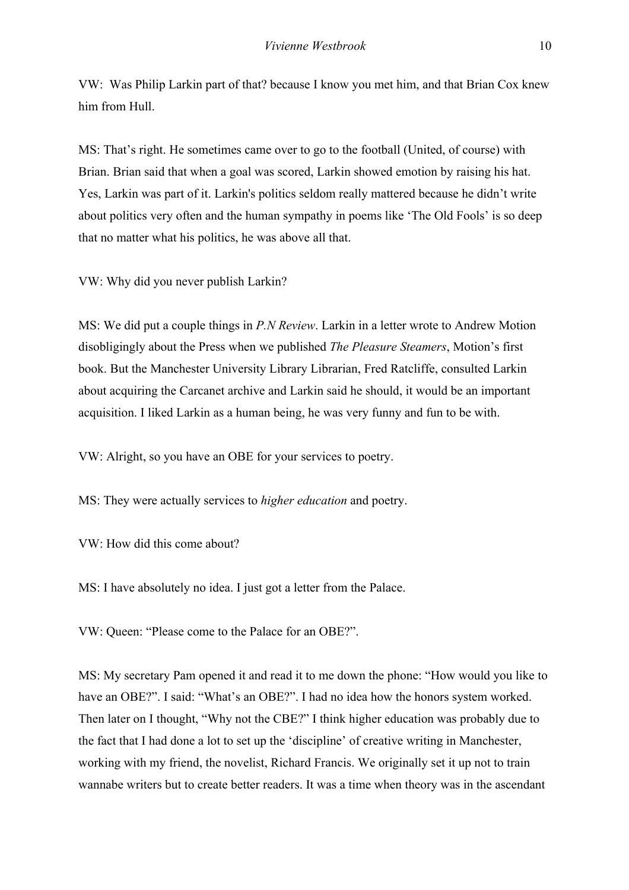VW: Was Philip Larkin part of that? because I know you met him, and that Brian Cox knew him from Hull.

MS: That's right. He sometimes came over to go to the football (United, of course) with Brian. Brian said that when a goal was scored, Larkin showed emotion by raising his hat. Yes, Larkin was part of it. Larkin's politics seldom really mattered because he didn't write about politics very often and the human sympathy in poems like 'The Old Fools' is so deep that no matter what his politics, he was above all that.

VW: Why did you never publish Larkin?

MS: We did put a couple things in *P.N Review*. Larkin in a letter wrote to Andrew Motion disobligingly about the Press when we published *The Pleasure Steamers*, Motion's first book. But the Manchester University Library Librarian, Fred Ratcliffe, consulted Larkin about acquiring the Carcanet archive and Larkin said he should, it would be an important acquisition. I liked Larkin as a human being, he was very funny and fun to be with.

VW: Alright, so you have an OBE for your services to poetry.

MS: They were actually services to *higher education* and poetry.

VW: How did this come about?

MS: I have absolutely no idea. I just got a letter from the Palace.

VW: Queen: "Please come to the Palace for an OBE?".

MS: My secretary Pam opened it and read it to me down the phone: "How would you like to have an OBE?". I said: "What's an OBE?". I had no idea how the honors system worked. Then later on I thought, "Why not the CBE?" I think higher education was probably due to the fact that I had done a lot to set up the 'discipline' of creative writing in Manchester, working with my friend, the novelist, Richard Francis. We originally set it up not to train wannabe writers but to create better readers. It was a time when theory was in the ascendant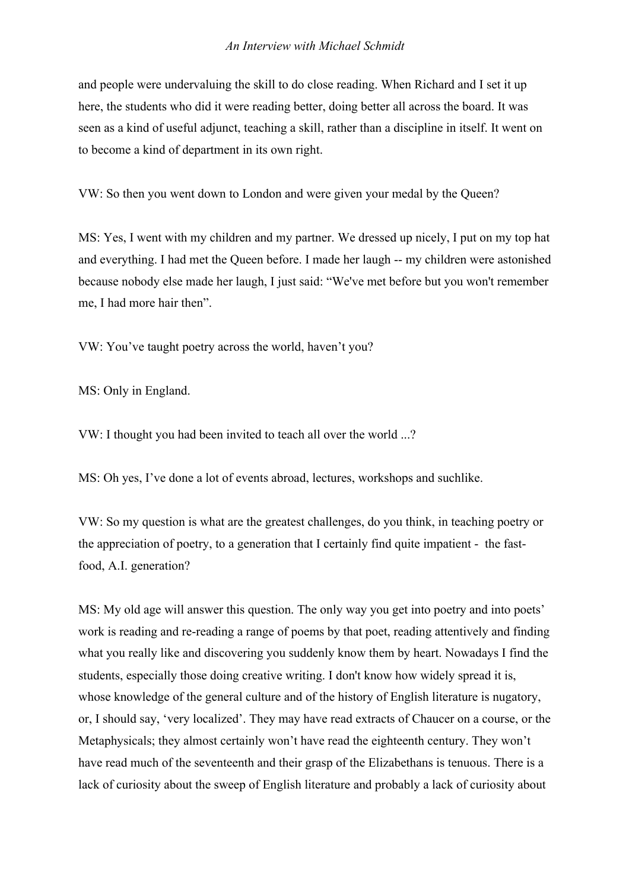and people were undervaluing the skill to do close reading. When Richard and I set it up here, the students who did it were reading better, doing better all across the board. It was seen as a kind of useful adjunct, teaching a skill, rather than a discipline in itself. It went on to become a kind of department in its own right.

VW: So then you went down to London and were given your medal by the Queen?

MS: Yes, I went with my children and my partner. We dressed up nicely, I put on my top hat and everything. I had met the Queen before. I made her laugh -- my children were astonished because nobody else made her laugh, I just said: "We've met before but you won't remember me, I had more hair then".

VW: You've taught poetry across the world, haven't you?

MS: Only in England.

VW: I thought you had been invited to teach all over the world ...?

MS: Oh yes, I've done a lot of events abroad, lectures, workshops and suchlike.

VW: So my question is what are the greatest challenges, do you think, in teaching poetry or the appreciation of poetry, to a generation that I certainly find quite impatient - the fastfood, A.I. generation?

MS: My old age will answer this question. The only way you get into poetry and into poets' work is reading and re-reading a range of poems by that poet, reading attentively and finding what you really like and discovering you suddenly know them by heart. Nowadays I find the students, especially those doing creative writing. I don't know how widely spread it is, whose knowledge of the general culture and of the history of English literature is nugatory, or, I should say, 'very localized'. They may have read extracts of Chaucer on a course, or the Metaphysicals; they almost certainly won't have read the eighteenth century. They won't have read much of the seventeenth and their grasp of the Elizabethans is tenuous. There is a lack of curiosity about the sweep of English literature and probably a lack of curiosity about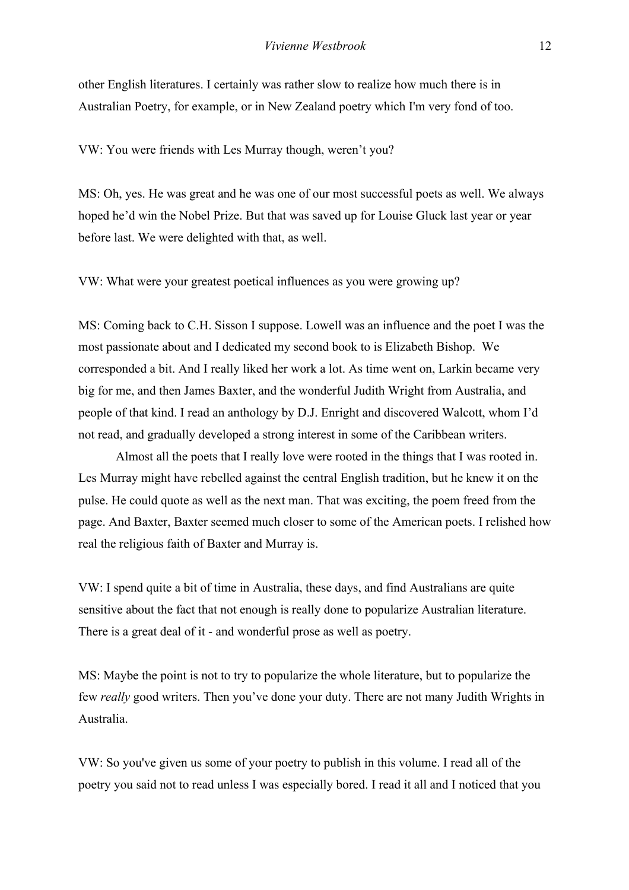other English literatures. I certainly was rather slow to realize how much there is in Australian Poetry, for example, or in New Zealand poetry which I'm very fond of too.

VW: You were friends with Les Murray though, weren't you?

MS: Oh, yes. He was great and he was one of our most successful poets as well. We always hoped he'd win the Nobel Prize. But that was saved up for Louise Gluck last year or year before last. We were delighted with that, as well.

VW: What were your greatest poetical influences as you were growing up?

MS: Coming back to C.H. Sisson I suppose. Lowell was an influence and the poet I was the most passionate about and I dedicated my second book to is Elizabeth Bishop. We corresponded a bit. And I really liked her work a lot. As time went on, Larkin became very big for me, and then James Baxter, and the wonderful Judith Wright from Australia, and people of that kind. I read an anthology by D.J. Enright and discovered Walcott, whom I'd not read, and gradually developed a strong interest in some of the Caribbean writers.

Almost all the poets that I really love were rooted in the things that I was rooted in. Les Murray might have rebelled against the central English tradition, but he knew it on the pulse. He could quote as well as the next man. That was exciting, the poem freed from the page. And Baxter, Baxter seemed much closer to some of the American poets. I relished how real the religious faith of Baxter and Murray is.

VW: I spend quite a bit of time in Australia, these days, and find Australians are quite sensitive about the fact that not enough is really done to popularize Australian literature. There is a great deal of it - and wonderful prose as well as poetry.

MS: Maybe the point is not to try to popularize the whole literature, but to popularize the few *really* good writers. Then you've done your duty. There are not many Judith Wrights in Australia.

VW: So you've given us some of your poetry to publish in this volume. I read all of the poetry you said not to read unless I was especially bored. I read it all and I noticed that you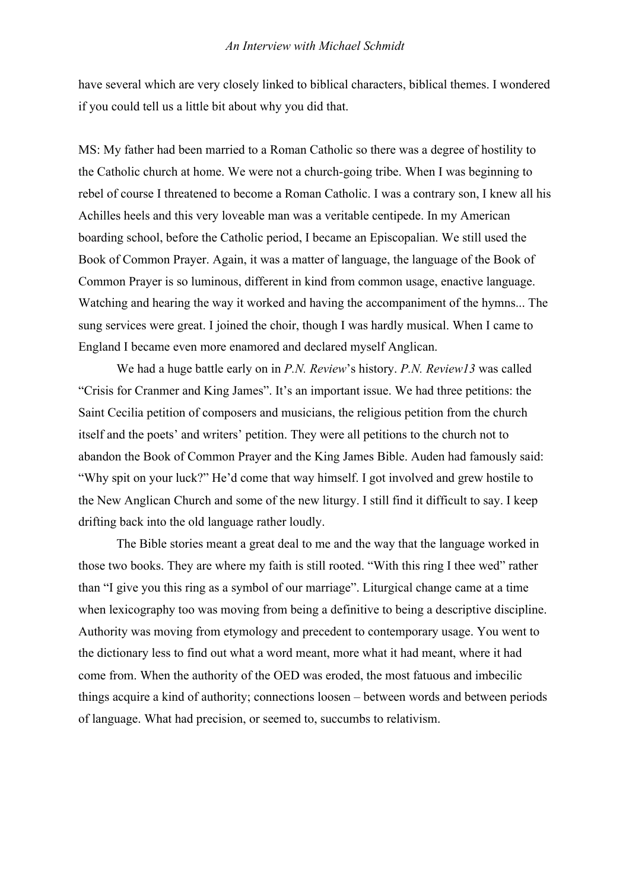have several which are very closely linked to biblical characters, biblical themes. I wondered if you could tell us a little bit about why you did that.

MS: My father had been married to a Roman Catholic so there was a degree of hostility to the Catholic church at home. We were not a church-going tribe. When I was beginning to rebel of course I threatened to become a Roman Catholic. I was a contrary son, I knew all his Achilles heels and this very loveable man was a veritable centipede. In my American boarding school, before the Catholic period, I became an Episcopalian. We still used the Book of Common Prayer. Again, it was a matter of language, the language of the Book of Common Prayer is so luminous, different in kind from common usage, enactive language. Watching and hearing the way it worked and having the accompaniment of the hymns... The sung services were great. I joined the choir, though I was hardly musical. When I came to England I became even more enamored and declared myself Anglican.

We had a huge battle early on in *P.N. Review*'s history. *P.N. Review13* was called "Crisis for Cranmer and King James". It's an important issue. We had three petitions: the Saint Cecilia petition of composers and musicians, the religious petition from the church itself and the poets' and writers' petition. They were all petitions to the church not to abandon the Book of Common Prayer and the King James Bible. Auden had famously said: "Why spit on your luck?" He'd come that way himself. I got involved and grew hostile to the New Anglican Church and some of the new liturgy. I still find it difficult to say. I keep drifting back into the old language rather loudly.

The Bible stories meant a great deal to me and the way that the language worked in those two books. They are where my faith is still rooted. "With this ring I thee wed" rather than "I give you this ring as a symbol of our marriage". Liturgical change came at a time when lexicography too was moving from being a definitive to being a descriptive discipline. Authority was moving from etymology and precedent to contemporary usage. You went to the dictionary less to find out what a word meant, more what it had meant, where it had come from. When the authority of the OED was eroded, the most fatuous and imbecilic things acquire a kind of authority; connections loosen – between words and between periods of language. What had precision, or seemed to, succumbs to relativism.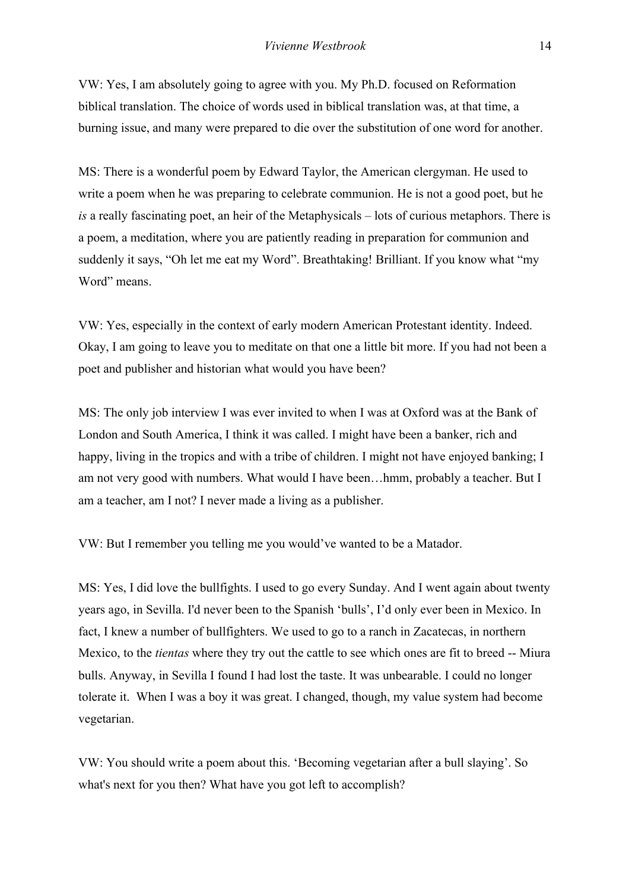VW: Yes, I am absolutely going to agree with you. My Ph.D. focused on Reformation biblical translation. The choice of words used in biblical translation was, at that time, a burning issue, and many were prepared to die over the substitution of one word for another.

MS: There is a wonderful poem by Edward Taylor, the American clergyman. He used to write a poem when he was preparing to celebrate communion. He is not a good poet, but he *is* a really fascinating poet, an heir of the Metaphysicals – lots of curious metaphors. There is a poem, a meditation, where you are patiently reading in preparation for communion and suddenly it says, "Oh let me eat my Word". Breathtaking! Brilliant. If you know what "my Word" means.

VW: Yes, especially in the context of early modern American Protestant identity. Indeed. Okay, I am going to leave you to meditate on that one a little bit more. If you had not been a poet and publisher and historian what would you have been?

MS: The only job interview I was ever invited to when I was at Oxford was at the Bank of London and South America, I think it was called. I might have been a banker, rich and happy, living in the tropics and with a tribe of children. I might not have enjoyed banking; I am not very good with numbers. What would I have been…hmm, probably a teacher. But I am a teacher, am I not? I never made a living as a publisher.

VW: But I remember you telling me you would've wanted to be a Matador.

MS: Yes, I did love the bullfights. I used to go every Sunday. And I went again about twenty years ago, in Sevilla. I'd never been to the Spanish 'bulls', I'd only ever been in Mexico. In fact, I knew a number of bullfighters. We used to go to a ranch in Zacatecas, in northern Mexico, to the *tientas* where they try out the cattle to see which ones are fit to breed -- Miura bulls. Anyway, in Sevilla I found I had lost the taste. It was unbearable. I could no longer tolerate it. When I was a boy it was great. I changed, though, my value system had become vegetarian.

VW: You should write a poem about this. 'Becoming vegetarian after a bull slaying'. So what's next for you then? What have you got left to accomplish?